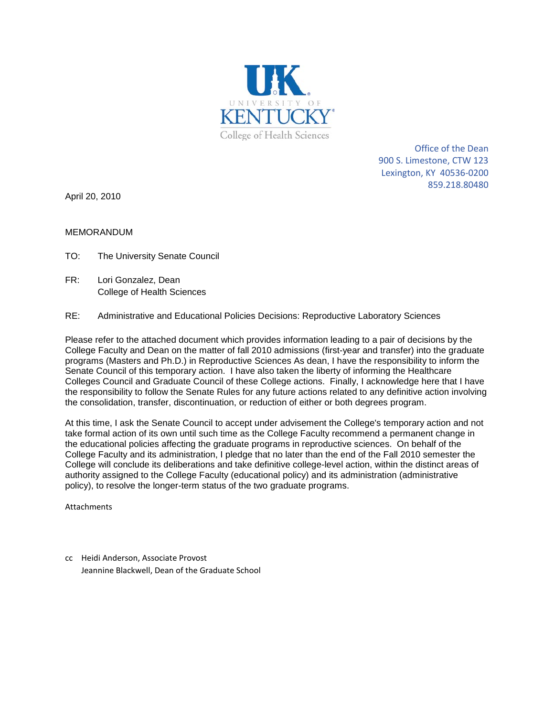

Office of the Dean 900 S. Limestone, CTW 123 Lexington, KY 40536-0200 859.218.80480

April 20, 2010

MEMORANDUM

- TO: The University Senate Council
- FR: Lori Gonzalez, Dean College of Health Sciences
- RE: Administrative and Educational Policies Decisions: Reproductive Laboratory Sciences

Please refer to the attached document which provides information leading to a pair of decisions by the College Faculty and Dean on the matter of fall 2010 admissions (first-year and transfer) into the graduate programs (Masters and Ph.D.) in Reproductive Sciences As dean, I have the responsibility to inform the Senate Council of this temporary action. I have also taken the liberty of informing the Healthcare Colleges Council and Graduate Council of these College actions. Finally, I acknowledge here that I have the responsibility to follow the Senate Rules for any future actions related to any definitive action involving the consolidation, transfer, discontinuation, or reduction of either or both degrees program.

At this time, I ask the Senate Council to accept under advisement the College's temporary action and not take formal action of its own until such time as the College Faculty recommend a permanent change in the educational policies affecting the graduate programs in reproductive sciences. On behalf of the College Faculty and its administration, I pledge that no later than the end of the Fall 2010 semester the College will conclude its deliberations and take definitive college-level action, within the distinct areas of authority assigned to the College Faculty (educational policy) and its administration (administrative policy), to resolve the longer-term status of the two graduate programs.

Attachments

cc Heidi Anderson, Associate Provost Jeannine Blackwell, Dean of the Graduate School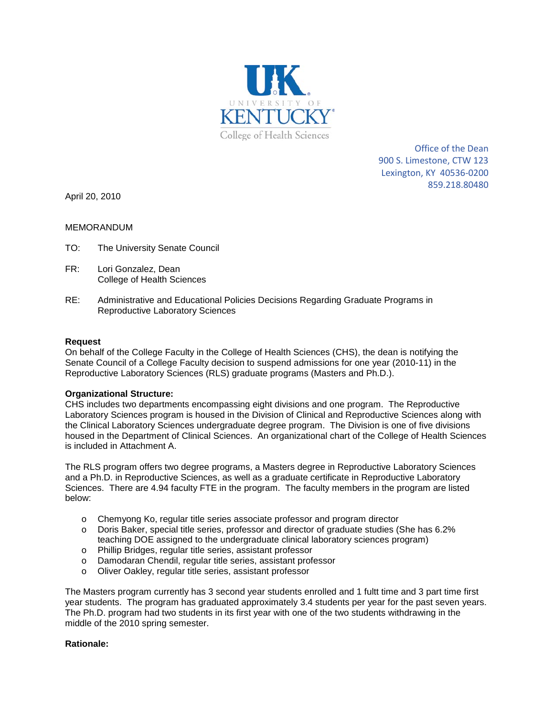

Office of the Dean 900 S. Limestone, CTW 123 Lexington, KY 40536-0200 859.218.80480

April 20, 2010

### MEMORANDUM

- TO: The University Senate Council
- FR: Lori Gonzalez, Dean College of Health Sciences
- RE: Administrative and Educational Policies Decisions Regarding Graduate Programs in Reproductive Laboratory Sciences

### **Request**

On behalf of the College Faculty in the College of Health Sciences (CHS), the dean is notifying the Senate Council of a College Faculty decision to suspend admissions for one year (2010-11) in the Reproductive Laboratory Sciences (RLS) graduate programs (Masters and Ph.D.).

### **Organizational Structure:**

CHS includes two departments encompassing eight divisions and one program. The Reproductive Laboratory Sciences program is housed in the Division of Clinical and Reproductive Sciences along with the Clinical Laboratory Sciences undergraduate degree program. The Division is one of five divisions housed in the Department of Clinical Sciences. An organizational chart of the College of Health Sciences is included in Attachment A.

The RLS program offers two degree programs, a Masters degree in Reproductive Laboratory Sciences and a Ph.D. in Reproductive Sciences, as well as a graduate certificate in Reproductive Laboratory Sciences. There are 4.94 faculty FTE in the program. The faculty members in the program are listed below:

- o Chemyong Ko, regular title series associate professor and program director
- o Doris Baker, special title series, professor and director of graduate studies (She has 6.2% teaching DOE assigned to the undergraduate clinical laboratory sciences program)
- o Phillip Bridges, regular title series, assistant professor
- o Damodaran Chendil, regular title series, assistant professor
- o Oliver Oakley, regular title series, assistant professor

The Masters program currently has 3 second year students enrolled and 1 fultt time and 3 part time first year students. The program has graduated approximately 3.4 students per year for the past seven years. The Ph.D. program had two students in its first year with one of the two students withdrawing in the middle of the 2010 spring semester.

### **Rationale:**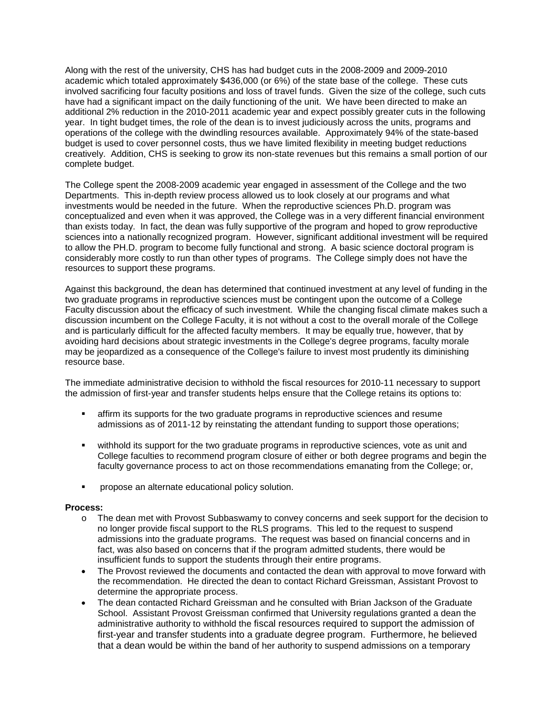Along with the rest of the university, CHS has had budget cuts in the 2008-2009 and 2009-2010 academic which totaled approximately \$436,000 (or 6%) of the state base of the college. These cuts involved sacrificing four faculty positions and loss of travel funds. Given the size of the college, such cuts have had a significant impact on the daily functioning of the unit. We have been directed to make an additional 2% reduction in the 2010-2011 academic year and expect possibly greater cuts in the following year. In tight budget times, the role of the dean is to invest judiciously across the units, programs and operations of the college with the dwindling resources available. Approximately 94% of the state-based budget is used to cover personnel costs, thus we have limited flexibility in meeting budget reductions creatively. Addition, CHS is seeking to grow its non-state revenues but this remains a small portion of our complete budget.

The College spent the 2008-2009 academic year engaged in assessment of the College and the two Departments. This in-depth review process allowed us to look closely at our programs and what investments would be needed in the future. When the reproductive sciences Ph.D. program was conceptualized and even when it was approved, the College was in a very different financial environment than exists today. In fact, the dean was fully supportive of the program and hoped to grow reproductive sciences into a nationally recognized program. However, significant additional investment will be required to allow the PH.D. program to become fully functional and strong. A basic science doctoral program is considerably more costly to run than other types of programs. The College simply does not have the resources to support these programs.

Against this background, the dean has determined that continued investment at any level of funding in the two graduate programs in reproductive sciences must be contingent upon the outcome of a College Faculty discussion about the efficacy of such investment. While the changing fiscal climate makes such a discussion incumbent on the College Faculty, it is not without a cost to the overall morale of the College and is particularly difficult for the affected faculty members. It may be equally true, however, that by avoiding hard decisions about strategic investments in the College's degree programs, faculty morale may be jeopardized as a consequence of the College's failure to invest most prudently its diminishing resource base.

The immediate administrative decision to withhold the fiscal resources for 2010-11 necessary to support the admission of first-year and transfer students helps ensure that the College retains its options to:

- affirm its supports for the two graduate programs in reproductive sciences and resume admissions as of 2011-12 by reinstating the attendant funding to support those operations;
- withhold its support for the two graduate programs in reproductive sciences, vote as unit and College faculties to recommend program closure of either or both degree programs and begin the faculty governance process to act on those recommendations emanating from the College; or,
- **PEDIEDE ACTE AT A LIGAN SET A** propose an alternate educational policy solution.

#### **Process:**

- o The dean met with Provost Subbaswamy to convey concerns and seek support for the decision to no longer provide fiscal support to the RLS programs. This led to the request to suspend admissions into the graduate programs. The request was based on financial concerns and in fact, was also based on concerns that if the program admitted students, there would be insufficient funds to support the students through their entire programs.
- The Provost reviewed the documents and contacted the dean with approval to move forward with the recommendation. He directed the dean to contact Richard Greissman, Assistant Provost to determine the appropriate process.
- The dean contacted Richard Greissman and he consulted with Brian Jackson of the Graduate School. Assistant Provost Greissman confirmed that University regulations granted a dean the administrative authority to withhold the fiscal resources required to support the admission of first-year and transfer students into a graduate degree program. Furthermore, he believed that a dean would be within the band of her authority to suspend admissions on a temporary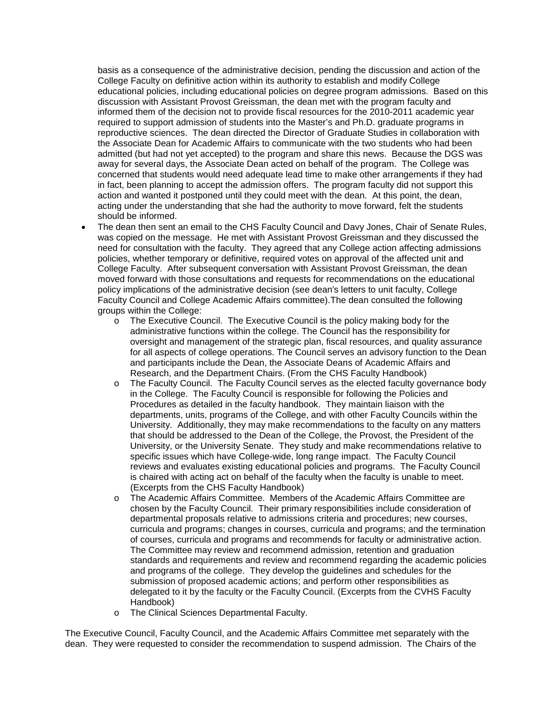basis as a consequence of the administrative decision, pending the discussion and action of the College Faculty on definitive action within its authority to establish and modify College educational policies, including educational policies on degree program admissions. Based on this discussion with Assistant Provost Greissman, the dean met with the program faculty and informed them of the decision not to provide fiscal resources for the 2010-2011 academic year required to support admission of students into the Master's and Ph.D. graduate programs in reproductive sciences. The dean directed the Director of Graduate Studies in collaboration with the Associate Dean for Academic Affairs to communicate with the two students who had been admitted (but had not yet accepted) to the program and share this news. Because the DGS was away for several days, the Associate Dean acted on behalf of the program. The College was concerned that students would need adequate lead time to make other arrangements if they had in fact, been planning to accept the admission offers. The program faculty did not support this action and wanted it postponed until they could meet with the dean. At this point, the dean, acting under the understanding that she had the authority to move forward, felt the students should be informed.

- The dean then sent an email to the CHS Faculty Council and Davy Jones, Chair of Senate Rules, was copied on the message. He met with Assistant Provost Greissman and they discussed the need for consultation with the faculty. They agreed that any College action affecting admissions policies, whether temporary or definitive, required votes on approval of the affected unit and College Faculty. After subsequent conversation with Assistant Provost Greissman, the dean moved forward with those consultations and requests for recommendations on the educational policy implications of the administrative decision (see dean's letters to unit faculty, College Faculty Council and College Academic Affairs committee).The dean consulted the following groups within the College:
	- o The Executive Council. The Executive Council is the policy making body for the administrative functions within the college. The Council has the responsibility for oversight and management of the strategic plan, fiscal resources, and quality assurance for all aspects of college operations. The Council serves an advisory function to the Dean and participants include the Dean, the Associate Deans of Academic Affairs and Research, and the Department Chairs. (From the CHS Faculty Handbook)
	- o The Faculty Council. The Faculty Council serves as the elected faculty governance body in the College. The Faculty Council is responsible for following the Policies and Procedures as detailed in the faculty handbook. They maintain liaison with the departments, units, programs of the College, and with other Faculty Councils within the University. Additionally, they may make recommendations to the faculty on any matters that should be addressed to the Dean of the College, the Provost, the President of the University, or the University Senate. They study and make recommendations relative to specific issues which have College-wide, long range impact. The Faculty Council reviews and evaluates existing educational policies and programs. The Faculty Council is chaired with acting act on behalf of the faculty when the faculty is unable to meet. (Excerpts from the CHS Faculty Handbook)
	- o The Academic Affairs Committee. Members of the Academic Affairs Committee are chosen by the Faculty Council. Their primary responsibilities include consideration of departmental proposals relative to admissions criteria and procedures; new courses, curricula and programs; changes in courses, curricula and programs; and the termination of courses, curricula and programs and recommends for faculty or administrative action. The Committee may review and recommend admission, retention and graduation standards and requirements and review and recommend regarding the academic policies and programs of the college. They develop the guidelines and schedules for the submission of proposed academic actions; and perform other responsibilities as delegated to it by the faculty or the Faculty Council. (Excerpts from the CVHS Faculty Handbook)
	- o The Clinical Sciences Departmental Faculty.

The Executive Council, Faculty Council, and the Academic Affairs Committee met separately with the dean. They were requested to consider the recommendation to suspend admission. The Chairs of the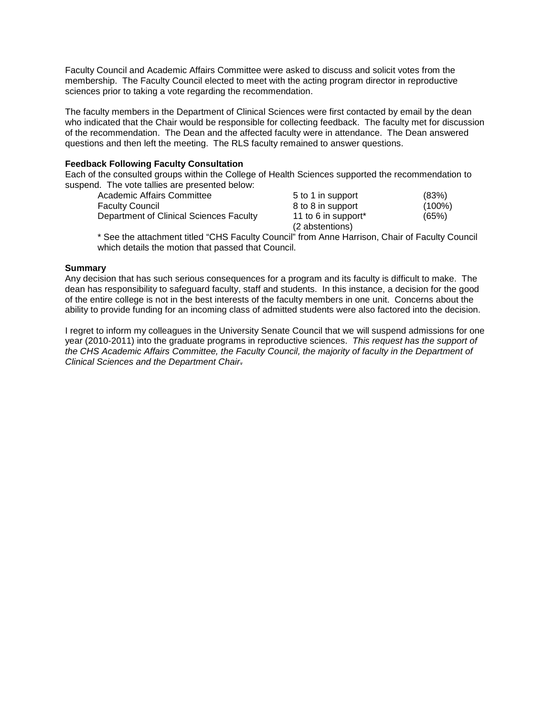Faculty Council and Academic Affairs Committee were asked to discuss and solicit votes from the membership. The Faculty Council elected to meet with the acting program director in reproductive sciences prior to taking a vote regarding the recommendation.

The faculty members in the Department of Clinical Sciences were first contacted by email by the dean who indicated that the Chair would be responsible for collecting feedback. The faculty met for discussion of the recommendation. The Dean and the affected faculty were in attendance. The Dean answered questions and then left the meeting. The RLS faculty remained to answer questions.

### **Feedback Following Faculty Consultation**

Each of the consulted groups within the College of Health Sciences supported the recommendation to suspend. The vote tallies are presented below:

| Academic Affairs Committee                                                                        | 5 to 1 in support   | (83%)     |
|---------------------------------------------------------------------------------------------------|---------------------|-----------|
| Faculty Council                                                                                   | 8 to 8 in support   | $(100\%)$ |
| Department of Clinical Sciences Faculty                                                           | 11 to 6 in support* | (65%)     |
|                                                                                                   | (2 abstentions)     |           |
| $\star$ Can the ottagherent titled "CLIC Family: Counsil" from Anna Harrison, Chair of Family: C. |                     |           |

\* See the attachment titled "CHS Faculty Council" from Anne Harrison, Chair of Faculty Council which details the motion that passed that Council.

### **Summary**

Any decision that has such serious consequences for a program and its faculty is difficult to make. The dean has responsibility to safeguard faculty, staff and students. In this instance, a decision for the good of the entire college is not in the best interests of the faculty members in one unit. Concerns about the ability to provide funding for an incoming class of admitted students were also factored into the decision.

I regret to inform my colleagues in the University Senate Council that we will suspend admissions for one year (2010-2011) into the graduate programs in reproductive sciences. *This request has the support of the CHS Academic Affairs Committee, the Faculty Council, the majority of faculty in the Department of Clinical Sciences and the Department Chair*.